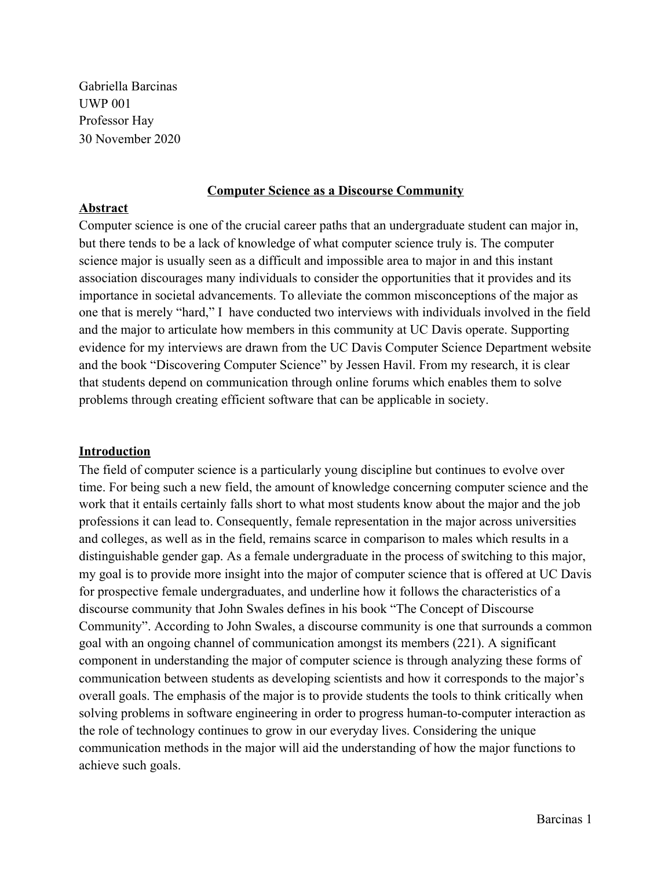Gabriella Barcinas UWP 001 Professor Hay 30 November 2020

### **Computer Science as a Discourse Community**

### **Abstract**

Computer science is one of the crucial career paths that an undergraduate student can major in, but there tends to be a lack of knowledge of what computer science truly is. The computer science major is usually seen as a difficult and impossible area to major in and this instant association discourages many individuals to consider the opportunities that it provides and its importance in societal advancements. To alleviate the common misconceptions of the major as one that is merely "hard," I have conducted two interviews with individuals involved in the field and the major to articulate how members in this community at UC Davis operate. Supporting evidence for my interviews are drawn from the UC Davis Computer Science Department website and the book "Discovering Computer Science" by Jessen Havil. From my research, it is clear that students depend on communication through online forums which enables them to solve problems through creating efficient software that can be applicable in society.

### **Introduction**

The field of computer science is a particularly young discipline but continues to evolve over time. For being such a new field, the amount of knowledge concerning computer science and the work that it entails certainly falls short to what most students know about the major and the job professions it can lead to. Consequently, female representation in the major across universities and colleges, as well as in the field, remains scarce in comparison to males which results in a distinguishable gender gap. As a female undergraduate in the process of switching to this major, my goal is to provide more insight into the major of computer science that is offered at UC Davis for prospective female undergraduates, and underline how it follows the characteristics of a discourse community that John Swales defines in his book "The Concept of Discourse Community". According to John Swales, a discourse community is one that surrounds a common goal with an ongoing channel of communication amongst its members (221). A significant component in understanding the major of computer science is through analyzing these forms of communication between students as developing scientists and how it corresponds to the major's overall goals. The emphasis of the major is to provide students the tools to think critically when solving problems in software engineering in order to progress human-to-computer interaction as the role of technology continues to grow in our everyday lives. Considering the unique communication methods in the major will aid the understanding of how the major functions to achieve such goals.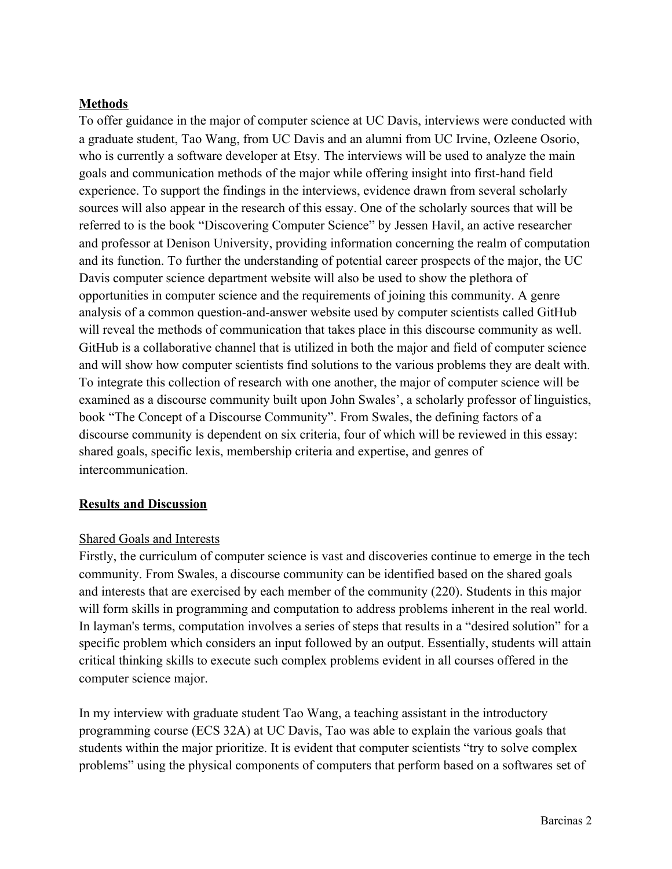# **Methods**

To offer guidance in the major of computer science at UC Davis, interviews were conducted with a graduate student, Tao Wang, from UC Davis and an alumni from UC Irvine, Ozleene Osorio, who is currently a software developer at Etsy. The interviews will be used to analyze the main goals and communication methods of the major while offering insight into first-hand field experience. To support the findings in the interviews, evidence drawn from several scholarly sources will also appear in the research of this essay. One of the scholarly sources that will be referred to is the book "Discovering Computer Science" by Jessen Havil, an active researcher and professor at Denison University, providing information concerning the realm of computation and its function. To further the understanding of potential career prospects of the major, the UC Davis computer science department website will also be used to show the plethora of opportunities in computer science and the requirements of joining this community. A genre analysis of a common question-and-answer website used by computer scientists called GitHub will reveal the methods of communication that takes place in this discourse community as well. GitHub is a collaborative channel that is utilized in both the major and field of computer science and will show how computer scientists find solutions to the various problems they are dealt with. To integrate this collection of research with one another, the major of computer science will be examined as a discourse community built upon John Swales', a scholarly professor of linguistics, book "The Concept of a Discourse Community". From Swales, the defining factors of a discourse community is dependent on six criteria, four of which will be reviewed in this essay: shared goals, specific lexis, membership criteria and expertise, and genres of intercommunication.

## **Results and Discussion**

## Shared Goals and Interests

Firstly, the curriculum of computer science is vast and discoveries continue to emerge in the tech community. From Swales, a discourse community can be identified based on the shared goals and interests that are exercised by each member of the community (220). Students in this major will form skills in programming and computation to address problems inherent in the real world. In layman's terms, computation involves a series of steps that results in a "desired solution" for a specific problem which considers an input followed by an output. Essentially, students will attain critical thinking skills to execute such complex problems evident in all courses offered in the computer science major.

In my interview with graduate student Tao Wang, a teaching assistant in the introductory programming course (ECS 32A) at UC Davis, Tao was able to explain the various goals that students within the major prioritize. It is evident that computer scientists "try to solve complex problems" using the physical components of computers that perform based on a softwares set of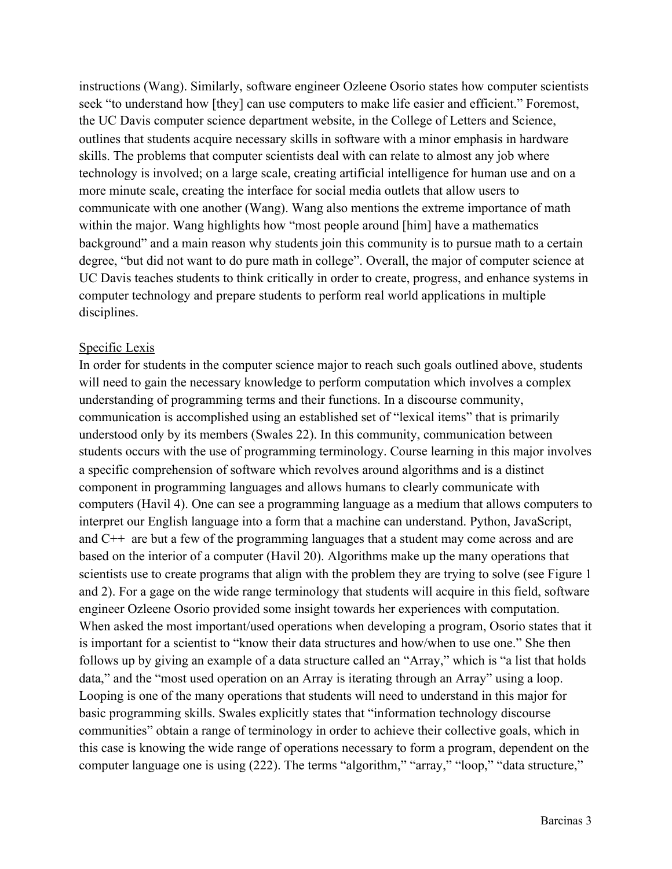instructions (Wang). Similarly, software engineer Ozleene Osorio states how computer scientists seek "to understand how [they] can use computers to make life easier and efficient." Foremost, the UC Davis computer science department website, in the College of Letters and Science, outlines that students acquire necessary skills in software with a minor emphasis in hardware skills. The problems that computer scientists deal with can relate to almost any job where technology is involved; on a large scale, creating artificial intelligence for human use and on a more minute scale, creating the interface for social media outlets that allow users to communicate with one another (Wang). Wang also mentions the extreme importance of math within the major. Wang highlights how "most people around [him] have a mathematics background" and a main reason why students join this community is to pursue math to a certain degree, "but did not want to do pure math in college". Overall, the major of computer science at UC Davis teaches students to think critically in order to create, progress, and enhance systems in computer technology and prepare students to perform real world applications in multiple disciplines.

#### Specific Lexis

In order for students in the computer science major to reach such goals outlined above, students will need to gain the necessary knowledge to perform computation which involves a complex understanding of programming terms and their functions. In a discourse community, communication is accomplished using an established set of "lexical items" that is primarily understood only by its members (Swales 22). In this community, communication between students occurs with the use of programming terminology. Course learning in this major involves a specific comprehension of software which revolves around algorithms and is a distinct component in programming languages and allows humans to clearly communicate with computers (Havil 4). One can see a programming language as a medium that allows computers to interpret our English language into a form that a machine can understand. Python, JavaScript, and C++ are but a few of the programming languages that a student may come across and are based on the interior of a computer (Havil 20). Algorithms make up the many operations that scientists use to create programs that align with the problem they are trying to solve (see Figure 1 and 2). For a gage on the wide range terminology that students will acquire in this field, software engineer Ozleene Osorio provided some insight towards her experiences with computation. When asked the most important/used operations when developing a program, Osorio states that it is important for a scientist to "know their data structures and how/when to use one." She then follows up by giving an example of a data structure called an "Array," which is "a list that holds data," and the "most used operation on an Array is iterating through an Array" using a loop. Looping is one of the many operations that students will need to understand in this major for basic programming skills. Swales explicitly states that "information technology discourse communities" obtain a range of terminology in order to achieve their collective goals, which in this case is knowing the wide range of operations necessary to form a program, dependent on the computer language one is using (222). The terms "algorithm," "array," "loop," "data structure,"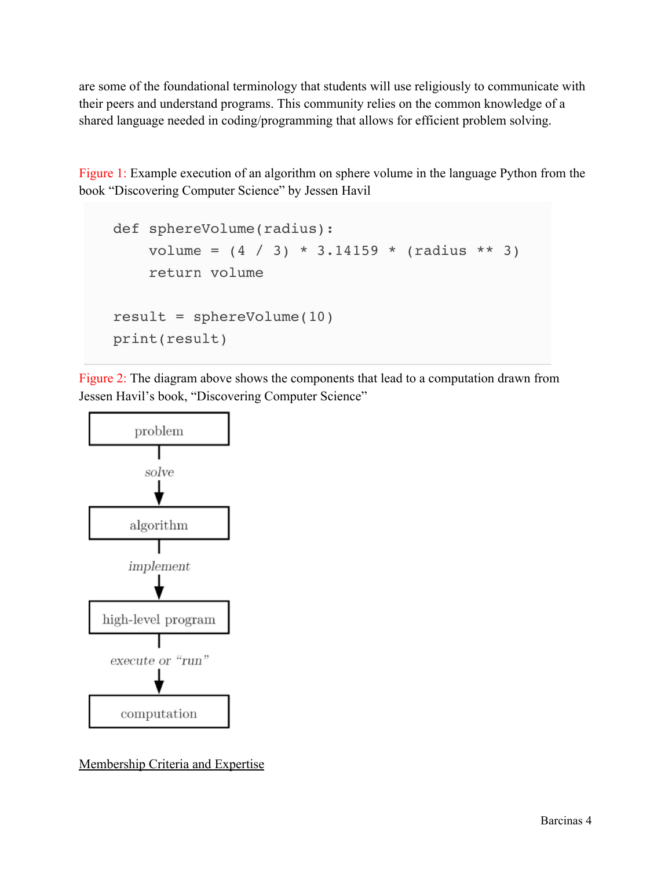are some of the foundational terminology that students will use religiously to communicate with their peers and understand programs. This community relies on the common knowledge of a shared language needed in coding/programming that allows for efficient problem solving.

Figure 1: Example execution of an algorithm on sphere volume in the language Python from the book "Discovering Computer Science" by Jessen Havil

```
def sphereVolume(radius):
   volume = (4 / 3) * 3.14159 * (radius ** 3)return volume
result = sphereVolume(10)print(result)
```
Figure 2: The diagram above shows the components that lead to a computation drawn from Jessen Havil's book, "Discovering Computer Science"



Membership Criteria and Expertise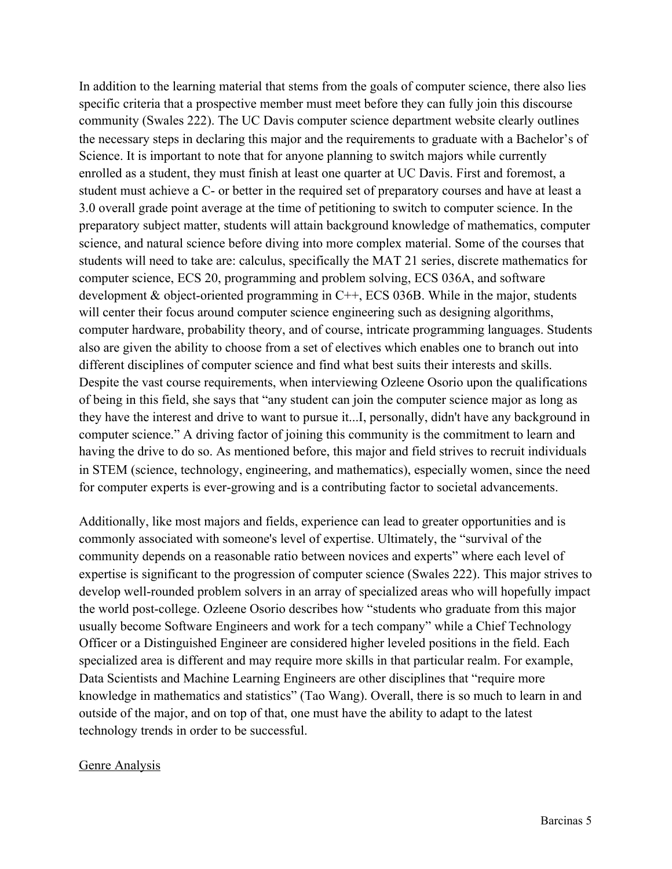In addition to the learning material that stems from the goals of computer science, there also lies specific criteria that a prospective member must meet before they can fully join this discourse community (Swales 222). The UC Davis computer science department website clearly outlines the necessary steps in declaring this major and the requirements to graduate with a Bachelor's of Science. It is important to note that for anyone planning to switch majors while currently enrolled as a student, they must finish at least one quarter at UC Davis. First and foremost, a student must achieve a C- or better in the required set of preparatory courses and have at least a 3.0 overall grade point average at the time of petitioning to switch to computer science. In the preparatory subject matter, students will attain background knowledge of mathematics, computer science, and natural science before diving into more complex material. Some of the courses that students will need to take are: calculus, specifically the MAT 21 series, discrete mathematics for computer science, ECS 20, programming and problem solving, ECS 036A, and software development  $\&$  object-oriented programming in C++, ECS 036B. While in the major, students will center their focus around computer science engineering such as designing algorithms, computer hardware, probability theory, and of course, intricate programming languages. Students also are given the ability to choose from a set of electives which enables one to branch out into different disciplines of computer science and find what best suits their interests and skills. Despite the vast course requirements, when interviewing Ozleene Osorio upon the qualifications of being in this field, she says that "any student can join the computer science major as long as they have the interest and drive to want to pursue it...I, personally, didn't have any background in computer science." A driving factor of joining this community is the commitment to learn and having the drive to do so. As mentioned before, this major and field strives to recruit individuals in STEM (science, technology, engineering, and mathematics), especially women, since the need for computer experts is ever-growing and is a contributing factor to societal advancements.

Additionally, like most majors and fields, experience can lead to greater opportunities and is commonly associated with someone's level of expertise. Ultimately, the "survival of the community depends on a reasonable ratio between novices and experts" where each level of expertise is significant to the progression of computer science (Swales 222). This major strives to develop well-rounded problem solvers in an array of specialized areas who will hopefully impact the world post-college. Ozleene Osorio describes how "students who graduate from this major usually become Software Engineers and work for a tech company" while a Chief Technology Officer or a Distinguished Engineer are considered higher leveled positions in the field. Each specialized area is different and may require more skills in that particular realm. For example, Data Scientists and Machine Learning Engineers are other disciplines that "require more knowledge in mathematics and statistics" (Tao Wang). Overall, there is so much to learn in and outside of the major, and on top of that, one must have the ability to adapt to the latest technology trends in order to be successful.

### Genre Analysis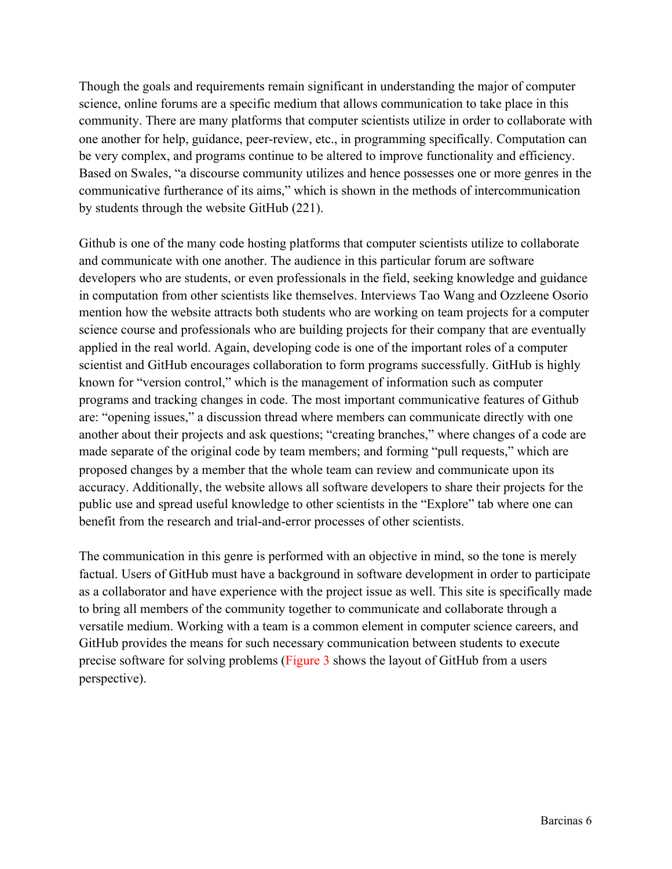Though the goals and requirements remain significant in understanding the major of computer science, online forums are a specific medium that allows communication to take place in this community. There are many platforms that computer scientists utilize in order to collaborate with one another for help, guidance, peer-review, etc., in programming specifically. Computation can be very complex, and programs continue to be altered to improve functionality and efficiency. Based on Swales, "a discourse community utilizes and hence possesses one or more genres in the communicative furtherance of its aims," which is shown in the methods of intercommunication by students through the website GitHub (221).

Github is one of the many code hosting platforms that computer scientists utilize to collaborate and communicate with one another. The audience in this particular forum are software developers who are students, or even professionals in the field, seeking knowledge and guidance in computation from other scientists like themselves. Interviews Tao Wang and Ozzleene Osorio mention how the website attracts both students who are working on team projects for a computer science course and professionals who are building projects for their company that are eventually applied in the real world. Again, developing code is one of the important roles of a computer scientist and GitHub encourages collaboration to form programs successfully. GitHub is highly known for "version control," which is the management of information such as computer programs and tracking changes in code. The most important communicative features of Github are: "opening issues," a discussion thread where members can communicate directly with one another about their projects and ask questions; "creating branches," where changes of a code are made separate of the original code by team members; and forming "pull requests," which are proposed changes by a member that the whole team can review and communicate upon its accuracy. Additionally, the website allows all software developers to share their projects for the public use and spread useful knowledge to other scientists in the "Explore" tab where one can benefit from the research and trial-and-error processes of other scientists.

The communication in this genre is performed with an objective in mind, so the tone is merely factual. Users of GitHub must have a background in software development in order to participate as a collaborator and have experience with the project issue as well. This site is specifically made to bring all members of the community together to communicate and collaborate through a versatile medium. Working with a team is a common element in computer science careers, and GitHub provides the means for such necessary communication between students to execute precise software for solving problems (Figure 3 shows the layout of GitHub from a users perspective).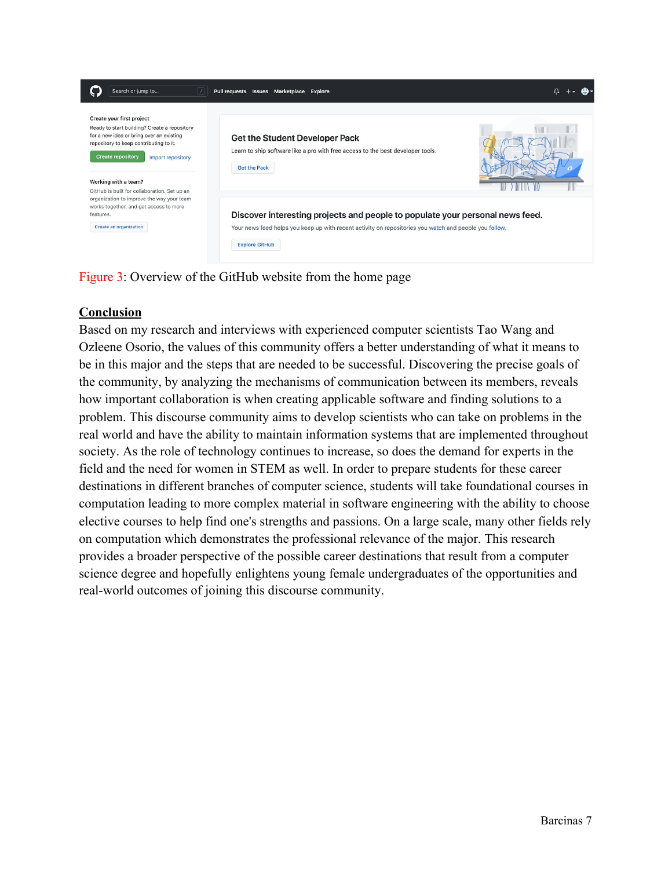

Figure 3: Overview of the GitHub website from the home page

### **Conclusion**

Based on my research and interviews with experienced computer scientists Tao Wang and Ozleene Osorio, the values of this community offers a better understanding of what it means to be in this major and the steps that are needed to be successful. Discovering the precise goals of the community, by analyzing the mechanisms of communication between its members, reveals how important collaboration is when creating applicable software and finding solutions to a problem. This discourse community aims to develop scientists who can take on problems in the real world and have the ability to maintain information systems that are implemented throughout society. As the role of technology continues to increase, so does the demand for experts in the field and the need for women in STEM as well. In order to prepare students for these career destinations in different branches of computer science, students will take foundational courses in computation leading to more complex material in software engineering with the ability to choose elective courses to help find one's strengths and passions. On a large scale, many other fields rely on computation which demonstrates the professional relevance of the major. This research provides a broader perspective of the possible career destinations that result from a computer science degree and hopefully enlightens young female undergraduates of the opportunities and real-world outcomes of joining this discourse community.